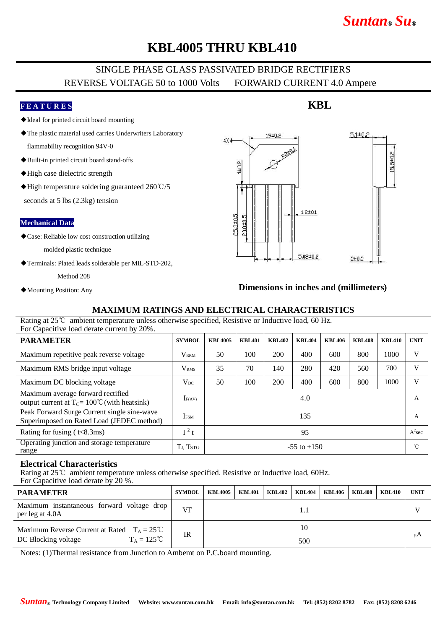# *Suntan***®** *Su***®**

## **KBL4005 THRU KBL410**

### SINGLE PHASE GLASS PASSIVATED BRIDGE RECTIFIERS REVERSE VOLTAGE 50 to 1000 Volts FORWARD CURRENT 4.0 Ampere

#### **F E A T U R E S**

- ◆Ideal for printed circuit board mounting
- ◆The plastic material used carries Underwriters Laboratory

flammability recognition 94V-0

- ◆Built-in printed circuit board stand-offs
- ◆High case dielectric strength
- ◆High temperature soldering guaranteed 260℃/5

seconds at 5 lbs (2.3kg) tension

#### **Mechanical Data**

◆Case: Reliable low cost construction utilizing

molded plastic technique

◆Terminals: Plated leads solderable per MIL-STD-202,

Method 208

◆Mounting Position: Any

## $5.1 \pm 0.2$  $19±0.8$ AXA 5,8±0,2  $1 + 0.2$  $1.2 \pm 0.1$ 25,3±0.5 P0.0±0. 5,08±0.2  $2\pm0.3$

#### **Dimensions in inches and (millimeters)**

#### **MAXIMUM RATINGS AND ELECTRICAL CHARACTERISTICS**

Rating at 25℃ ambient temperature unless otherwise specified, Resistive or Inductive load, 60 Hz. For Capacitive load derate current by 20%.

| <b>PARAMETER</b>                                                                             | <b>SYMBOL</b>           | <b>KBL4005</b>  | <b>KBL401</b> | <b>KBL402</b> | <b>KBL404</b> | <b>KBL406</b> | <b>KBL408</b> | <b>KBL410</b> | <b>UNIT</b> |
|----------------------------------------------------------------------------------------------|-------------------------|-----------------|---------------|---------------|---------------|---------------|---------------|---------------|-------------|
| Maximum repetitive peak reverse voltage                                                      | <b>VRRM</b>             | 50              | 100           | 200           | 400           | 600           | 800           | 1000          | V           |
| Maximum RMS bridge input voltage                                                             | <b>V</b> <sub>RMS</sub> | 35              | 70            | 140           | 280           | 420           | 560           | 700           | V           |
| Maximum DC blocking voltage                                                                  | $\rm V_{DC}$            | 50              | 100           | 200           | 400           | 600           | 800           | 1000          | V           |
| Maximum average forward rectified<br>output current at $T_c = 100^{\circ}$ C (with heatsink) | IF(AV)                  | 4.0             |               |               |               |               |               | A             |             |
| Peak Forward Surge Current single sine-wave<br>Superimposed on Rated Load (JEDEC method)     | <b>IFSM</b>             | 135             |               |               |               |               |               | A             |             |
| Rating for fusing $(t<8.3ms)$                                                                | $\mathbf{i}^2$ t        | 95              |               |               |               |               |               |               | $A^2$ sec   |
| Operating junction and storage temperature<br>range                                          | TJ. TSTG                | $-55$ to $+150$ |               |               |               |               |               | $^{\circ}$ C  |             |

#### **Electrical Characteristics**

Rating at 25℃ ambient temperature unless otherwise specified. Resistive or Inductive load, 60Hz.

For Capacitive load derate by 20 %.

| <b>PARAMETER</b>                                                                                    | SYMBOL | <b>KBL4005</b> | <b>KBL401</b> |  | $KBL402$   $KBL404$ | <b>KBL406</b> | <b>KBL408</b> | <b>KBL410</b> | <b>UNIT</b> |
|-----------------------------------------------------------------------------------------------------|--------|----------------|---------------|--|---------------------|---------------|---------------|---------------|-------------|
| Maximum instantaneous forward voltage drop<br>per leg at 4.0A                                       | VF     |                |               |  |                     |               |               | N.            |             |
| Maximum Reverse Current at Rated $T_A = 25^{\circ}C$<br>$T_A = 125^{\circ}C$<br>DC Blocking voltage | IR     | 10             |               |  |                     |               |               |               | μA          |
|                                                                                                     |        | 500            |               |  |                     |               |               |               |             |

Notes: (1)Thermal resistance from Junction to Ambemt on P.C.board mounting.

### **KBL**